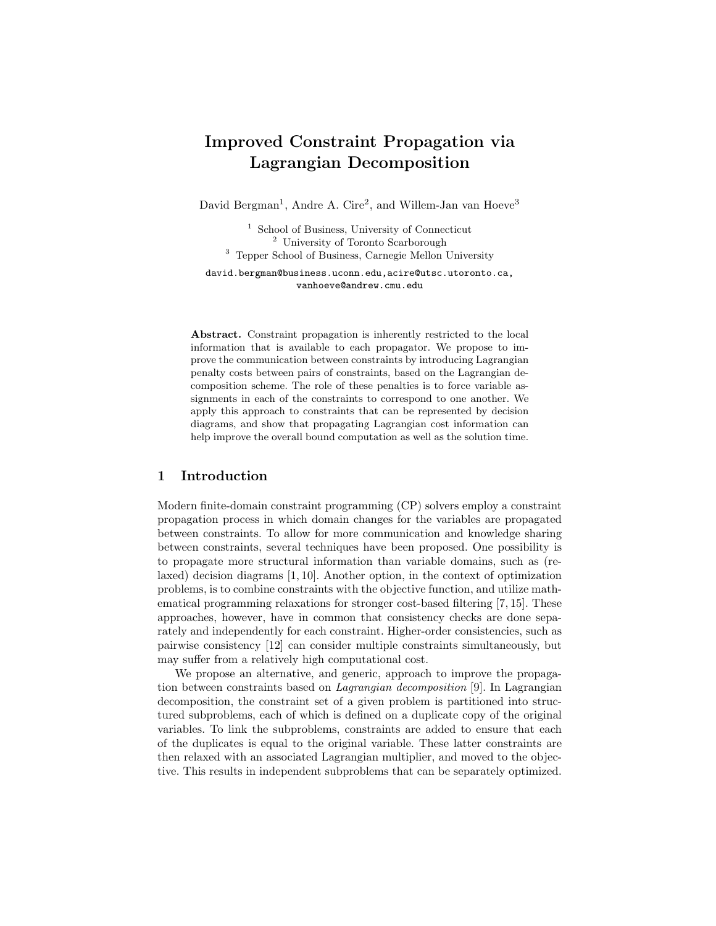# Improved Constraint Propagation via Lagrangian Decomposition

David Bergman<sup>1</sup>, Andre A. Cire<sup>2</sup>, and Willem-Jan van Hoeve<sup>3</sup>

<sup>1</sup> School of Business, University of Connecticut <sup>2</sup> University of Toronto Scarborough <sup>3</sup> Tepper School of Business, Carnegie Mellon University

david.bergman@business.uconn.edu,acire@utsc.utoronto.ca, vanhoeve@andrew.cmu.edu

Abstract. Constraint propagation is inherently restricted to the local information that is available to each propagator. We propose to improve the communication between constraints by introducing Lagrangian penalty costs between pairs of constraints, based on the Lagrangian decomposition scheme. The role of these penalties is to force variable assignments in each of the constraints to correspond to one another. We apply this approach to constraints that can be represented by decision diagrams, and show that propagating Lagrangian cost information can help improve the overall bound computation as well as the solution time.

## 1 Introduction

Modern finite-domain constraint programming (CP) solvers employ a constraint propagation process in which domain changes for the variables are propagated between constraints. To allow for more communication and knowledge sharing between constraints, several techniques have been proposed. One possibility is to propagate more structural information than variable domains, such as (relaxed) decision diagrams [1, 10]. Another option, in the context of optimization problems, is to combine constraints with the objective function, and utilize mathematical programming relaxations for stronger cost-based filtering [7, 15]. These approaches, however, have in common that consistency checks are done separately and independently for each constraint. Higher-order consistencies, such as pairwise consistency [12] can consider multiple constraints simultaneously, but may suffer from a relatively high computational cost.

We propose an alternative, and generic, approach to improve the propagation between constraints based on Lagrangian decomposition [9]. In Lagrangian decomposition, the constraint set of a given problem is partitioned into structured subproblems, each of which is defined on a duplicate copy of the original variables. To link the subproblems, constraints are added to ensure that each of the duplicates is equal to the original variable. These latter constraints are then relaxed with an associated Lagrangian multiplier, and moved to the objective. This results in independent subproblems that can be separately optimized.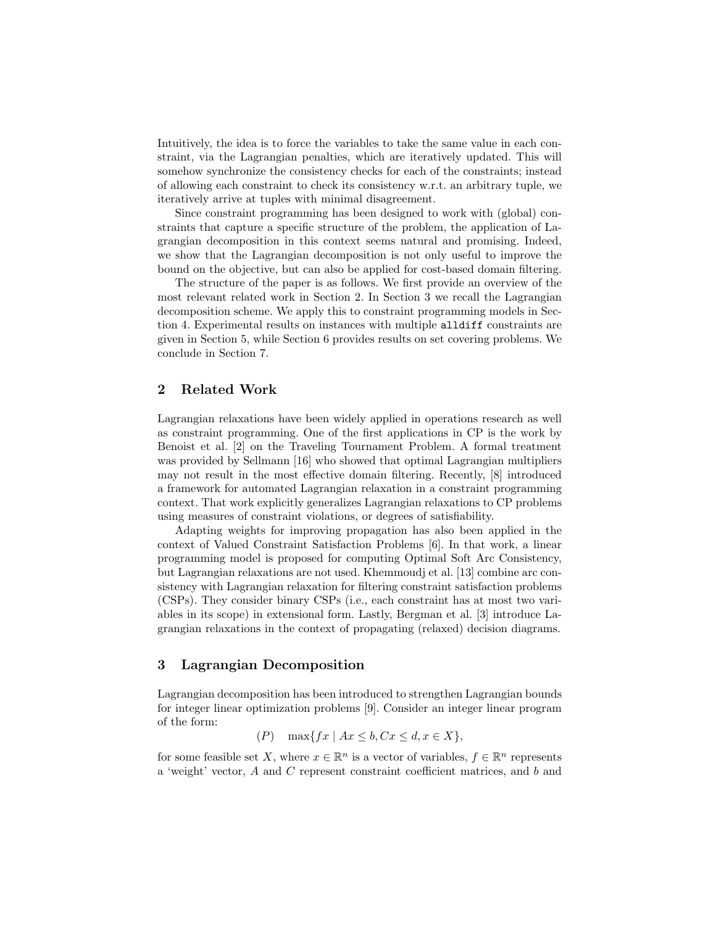Intuitively, the idea is to force the variables to take the same value in each constraint, via the Lagrangian penalties, which are iteratively updated. This will somehow synchronize the consistency checks for each of the constraints; instead of allowing each constraint to check its consistency w.r.t. an arbitrary tuple, we iteratively arrive at tuples with minimal disagreement.

Since constraint programming has been designed to work with (global) constraints that capture a specific structure of the problem, the application of Lagrangian decomposition in this context seems natural and promising. Indeed, we show that the Lagrangian decomposition is not only useful to improve the bound on the objective, but can also be applied for cost-based domain filtering.

The structure of the paper is as follows. We first provide an overview of the most relevant related work in Section 2. In Section 3 we recall the Lagrangian decomposition scheme. We apply this to constraint programming models in Section 4. Experimental results on instances with multiple alldiff constraints are given in Section 5, while Section 6 provides results on set covering problems. We conclude in Section 7.

### 2 Related Work

Lagrangian relaxations have been widely applied in operations research as well as constraint programming. One of the first applications in CP is the work by Benoist et al. [2] on the Traveling Tournament Problem. A formal treatment was provided by Sellmann [16] who showed that optimal Lagrangian multipliers may not result in the most effective domain filtering. Recently, [8] introduced a framework for automated Lagrangian relaxation in a constraint programming context. That work explicitly generalizes Lagrangian relaxations to CP problems using measures of constraint violations, or degrees of satisfiability.

Adapting weights for improving propagation has also been applied in the context of Valued Constraint Satisfaction Problems [6]. In that work, a linear programming model is proposed for computing Optimal Soft Arc Consistency, but Lagrangian relaxations are not used. Khemmoudj et al. [13] combine arc consistency with Lagrangian relaxation for filtering constraint satisfaction problems (CSPs). They consider binary CSPs (i.e., each constraint has at most two variables in its scope) in extensional form. Lastly, Bergman et al. [3] introduce Lagrangian relaxations in the context of propagating (relaxed) decision diagrams.

### 3 Lagrangian Decomposition

Lagrangian decomposition has been introduced to strengthen Lagrangian bounds for integer linear optimization problems [9]. Consider an integer linear program of the form:

$$
(P) \quad \max\{fx \mid Ax \le b, Cx \le d, x \in X\},
$$

for some feasible set X, where  $x \in \mathbb{R}^n$  is a vector of variables,  $f \in \mathbb{R}^n$  represents a 'weight' vector, A and C represent constraint coefficient matrices, and b and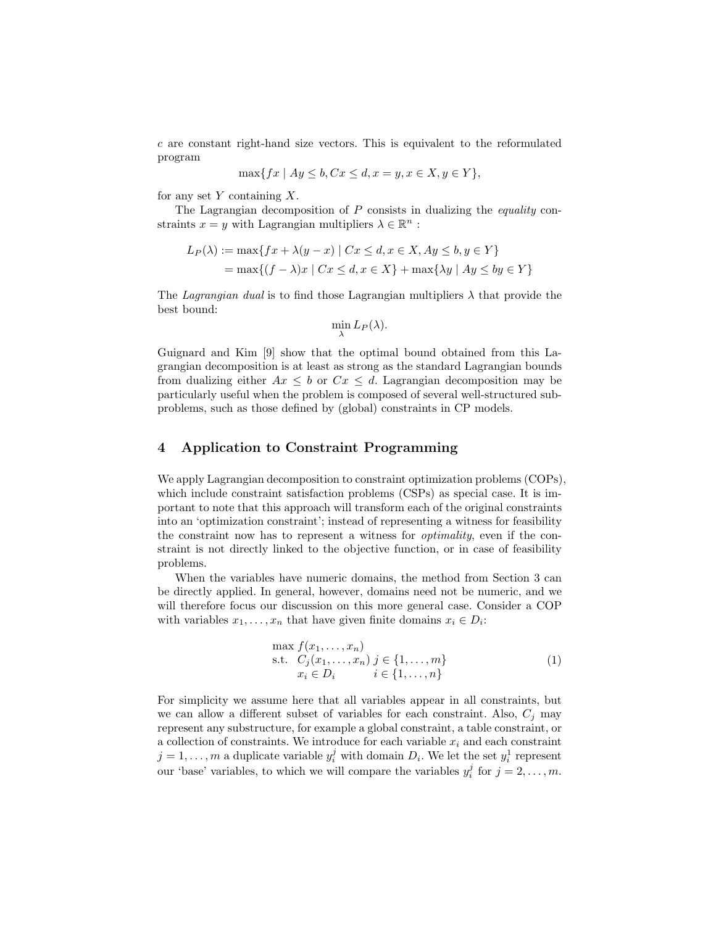c are constant right-hand size vectors. This is equivalent to the reformulated program

$$
\max\{fx \mid Ay \le b, Cx \le d, x = y, x \in X, y \in Y\},\
$$

for any set  $Y$  containing  $X$ .

The Lagrangian decomposition of  $P$  consists in dualizing the *equality* constraints  $x = y$  with Lagrangian multipliers  $\lambda \in \mathbb{R}^n$ :

$$
L_P(\lambda) := \max\{fx + \lambda(y - x) \mid Cx \le d, x \in X, Ay \le b, y \in Y\}
$$
  
= 
$$
\max\{(f - \lambda)x \mid Cx \le d, x \in X\} + \max\{\lambda y \mid Ay \le by \in Y\}
$$

The Lagrangian dual is to find those Lagrangian multipliers  $\lambda$  that provide the best bound:

$$
\min_{\lambda} L_P(\lambda).
$$

Guignard and Kim [9] show that the optimal bound obtained from this Lagrangian decomposition is at least as strong as the standard Lagrangian bounds from dualizing either  $Ax \leq b$  or  $Cx \leq d$ . Lagrangian decomposition may be particularly useful when the problem is composed of several well-structured subproblems, such as those defined by (global) constraints in CP models.

### 4 Application to Constraint Programming

We apply Lagrangian decomposition to constraint optimization problems (COPs), which include constraint satisfaction problems (CSPs) as special case. It is important to note that this approach will transform each of the original constraints into an 'optimization constraint'; instead of representing a witness for feasibility the constraint now has to represent a witness for optimality, even if the constraint is not directly linked to the objective function, or in case of feasibility problems.

When the variables have numeric domains, the method from Section 3 can be directly applied. In general, however, domains need not be numeric, and we will therefore focus our discussion on this more general case. Consider a COP with variables  $x_1, \ldots, x_n$  that have given finite domains  $x_i \in D_i$ :

$$
\max f(x_1, ..., x_n) \ns.t. \ C_j(x_1, ..., x_n) \ j \in \{1, ..., m\} \n x_i \in D_i \qquad i \in \{1, ..., n\}
$$
\n(1)

For simplicity we assume here that all variables appear in all constraints, but we can allow a different subset of variables for each constraint. Also,  $C_i$  may represent any substructure, for example a global constraint, a table constraint, or a collection of constraints. We introduce for each variable  $x_i$  and each constraint  $j = 1, \ldots, m$  a duplicate variable  $y_i^j$  with domain  $D_i$ . We let the set  $y_i^1$  represent our 'base' variables, to which we will compare the variables  $y_i^j$  for  $j = 2, \ldots, m$ .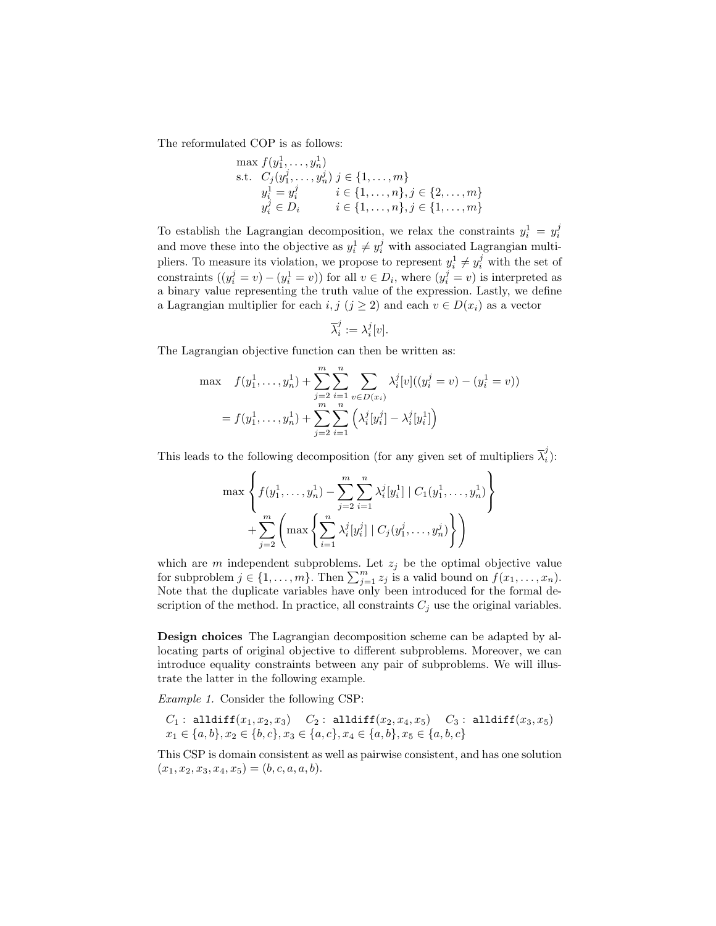The reformulated COP is as follows:

$$
\begin{array}{ll}\n\max f(y_1^1, \dots, y_n^1) \\
\text{s.t.} \quad C_j(y_1^j, \dots, y_n^j) \ j \in \{1, \dots, m\} \\
y_i^1 = y_i^j \qquad i \in \{1, \dots, n\}, j \in \{2, \dots, m\} \\
y_i^j \in D_i \qquad i \in \{1, \dots, n\}, j \in \{1, \dots, m\}\n\end{array}
$$

To establish the Lagrangian decomposition, we relax the constraints  $y_i^1 = y_i^j$ and move these into the objective as  $y_i^1 \neq y_i^j$  with associated Lagrangian multipliers. To measure its violation, we propose to represent  $y_i^1 \neq y_i^j$  with the set of constraints  $((y_i^j = v) - (y_i^1 = v))$  for all  $v \in D_i$ , where  $(y_i^j = v)$  is interpreted as a binary value representing the truth value of the expression. Lastly, we define a Lagrangian multiplier for each  $i, j \ (j \geq 2)$  and each  $v \in D(x_i)$  as a vector

$$
\overline{\lambda}_i^j := \lambda_i^j[v].
$$

The Lagrangian objective function can then be written as:

$$
\max \quad f(y_1^1, \dots, y_n^1) + \sum_{j=2}^m \sum_{i=1}^n \sum_{v \in D(x_i)} \lambda_i^j[v]((y_i^j = v) - (y_i^1 = v))
$$

$$
= f(y_1^1, \dots, y_n^1) + \sum_{j=2}^m \sum_{i=1}^n \left(\lambda_i^j[y_i^j] - \lambda_i^j[y_i^1]\right)
$$

This leads to the following decomposition (for any given set of multipliers  $\overline{\lambda}_i^j$  $i^{\prime}$ ):

$$
\max \left\{ f(y_1^1, \dots, y_n^1) - \sum_{j=2}^m \sum_{i=1}^n \lambda_i^j [y_i^1] | C_1(y_1^1, \dots, y_n^1) \right\} + \sum_{j=2}^m \left( \max \left\{ \sum_{i=1}^n \lambda_i^j [y_i^j] | C_j(y_1^j, \dots, y_n^j) \right\} \right)
$$

which are m independent subproblems. Let  $z_j$  be the optimal objective value for subproblem  $j \in \{1, \ldots, m\}$ . Then  $\sum_{j=1}^{m} z_j$  is a valid bound on  $f(x_1, \ldots, x_n)$ . Note that the duplicate variables have only been introduced for the formal description of the method. In practice, all constraints  $C_i$  use the original variables.

Design choices The Lagrangian decomposition scheme can be adapted by allocating parts of original objective to different subproblems. Moreover, we can introduce equality constraints between any pair of subproblems. We will illustrate the latter in the following example.

Example 1. Consider the following CSP:

$$
C_1: \text{ alldiff}(x_1, x_2, x_3) \quad C_2: \text{ alldiff}(x_2, x_4, x_5) \quad C_3: \text{ alldiff}(x_3, x_5) x_1 \in \{a, b\}, x_2 \in \{b, c\}, x_3 \in \{a, c\}, x_4 \in \{a, b\}, x_5 \in \{a, b, c\}
$$

This CSP is domain consistent as well as pairwise consistent, and has one solution  $(x_1, x_2, x_3, x_4, x_5) = (b, c, a, a, b).$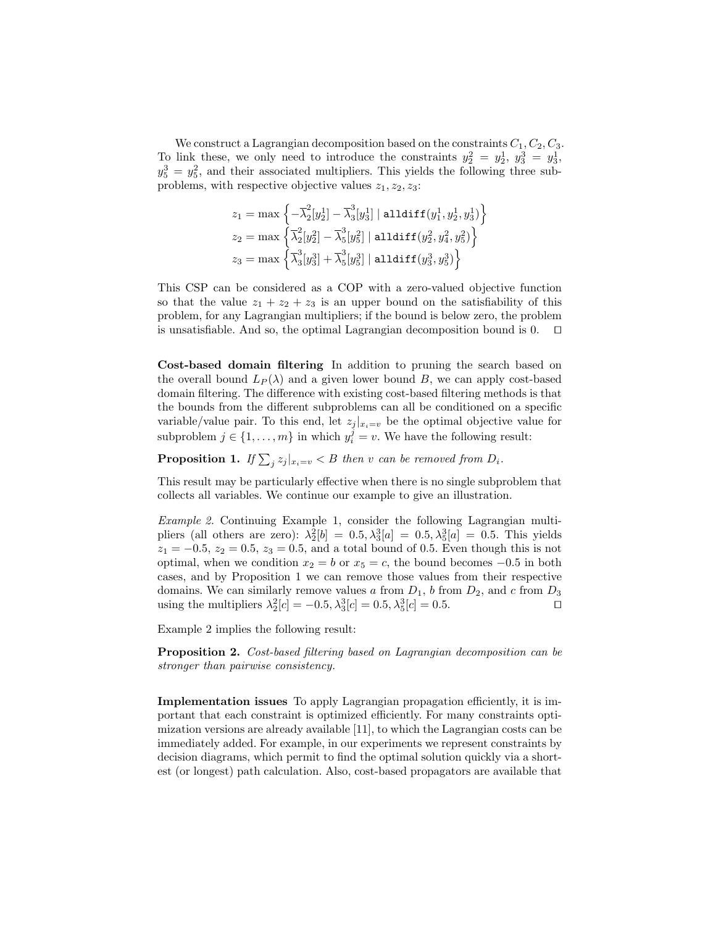We construct a Lagrangian decomposition based on the constraints  $C_1, C_2, C_3$ . To link these, we only need to introduce the constraints  $y_2^2 = y_2^1$ ,  $y_3^3 = y_3^1$ ,  $y_5^3 = y_5^2$ , and their associated multipliers. This yields the following three subproblems, with respective objective values  $z_1, z_2, z_3$ :

$$
\begin{aligned} z_1 &= \max \left\{ - \overline{\lambda}_2^2[y_2^1] - \overline{\lambda}_3^3[y_3^1] \mid \mathtt{alldiff}(y_1^1,y_2^1,y_3^1) \right\} \\ z_2 &= \max \left\{ \overline{\lambda}_2^2[y_2^2] - \overline{\lambda}_5^3[y_5^2] \mid \mathtt{alldiff}(y_2^2,y_4^2,y_5^2) \right\} \\ z_3 &= \max \left\{ \overline{\lambda}_3^3[y_3^3] + \overline{\lambda}_5^3[y_5^3] \mid \mathtt{alldiff}(y_3^3,y_5^3) \right\} \end{aligned}
$$

This CSP can be considered as a COP with a zero-valued objective function so that the value  $z_1 + z_2 + z_3$  is an upper bound on the satisfiability of this problem, for any Lagrangian multipliers; if the bound is below zero, the problem is unsatisfiable. And so, the optimal Lagrangian decomposition bound is  $0.$   $\Box$ 

Cost-based domain filtering In addition to pruning the search based on the overall bound  $L_P(\lambda)$  and a given lower bound B, we can apply cost-based domain filtering. The difference with existing cost-based filtering methods is that the bounds from the different subproblems can all be conditioned on a specific variable/value pair. To this end, let  $z_j |_{x_i=v}$  be the optimal objective value for subproblem  $j \in \{1, ..., m\}$  in which  $y_i^j = v$ . We have the following result:

# **Proposition 1.** If  $\sum_{j} z_j |_{x_i=v} < B$  then v can be removed from  $D_i$ .

This result may be particularly effective when there is no single subproblem that collects all variables. We continue our example to give an illustration.

Example 2. Continuing Example 1, consider the following Lagrangian multipliers (all others are zero):  $\lambda_2^2[b] = 0.5, \lambda_3^3[a] = 0.5, \lambda_5^3[a] = 0.5$ . This yields  $z_1 = -0.5, z_2 = 0.5, z_3 = 0.5,$  and a total bound of 0.5. Even though this is not optimal, when we condition  $x_2 = b$  or  $x_5 = c$ , the bound becomes  $-0.5$  in both cases, and by Proposition 1 we can remove those values from their respective domains. We can similarly remove values a from  $D_1$ , b from  $D_2$ , and c from  $D_3$ using the multipliers  $\lambda_2^2[c] = -0.5, \lambda_3^3[c] = 0.5, \lambda_5^3[c] = 0.5.$ 

Example 2 implies the following result:

Proposition 2. Cost-based filtering based on Lagrangian decomposition can be stronger than pairwise consistency.

Implementation issues To apply Lagrangian propagation efficiently, it is important that each constraint is optimized efficiently. For many constraints optimization versions are already available [11], to which the Lagrangian costs can be immediately added. For example, in our experiments we represent constraints by decision diagrams, which permit to find the optimal solution quickly via a shortest (or longest) path calculation. Also, cost-based propagators are available that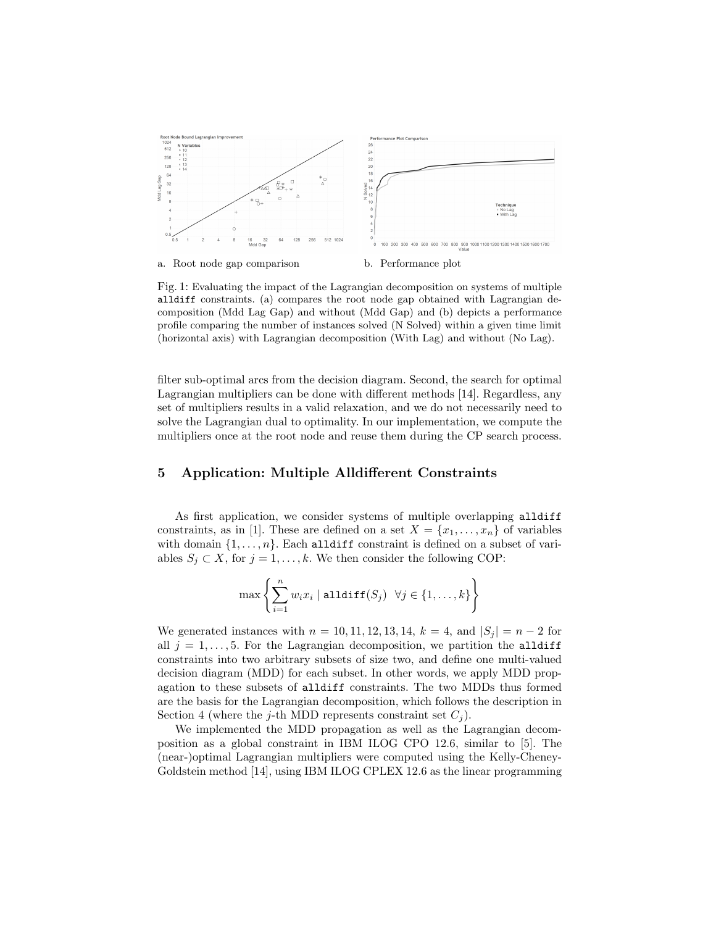

a. Root node gap comparison b. Performance plot

Fig. 1: Evaluating the impact of the Lagrangian decomposition on systems of multiple alldiff constraints. (a) compares the root node gap obtained with Lagrangian decomposition (Mdd Lag Gap) and without (Mdd Gap) and (b) depicts a performance profile comparing the number of instances solved (N Solved) within a given time limit (horizontal axis) with Lagrangian decomposition (With Lag) and without (No Lag).

filter sub-optimal arcs from the decision diagram. Second, the search for optimal Lagrangian multipliers can be done with different methods [14]. Regardless, any set of multipliers results in a valid relaxation, and we do not necessarily need to solve the Lagrangian dual to optimality. In our implementation, we compute the multipliers once at the root node and reuse them during the CP search process.

### 5 Application: Multiple Alldifferent Constraints

As first application, we consider systems of multiple overlapping alldiff constraints, as in [1]. These are defined on a set  $X = \{x_1, \ldots, x_n\}$  of variables with domain  $\{1, \ldots, n\}$ . Each alldiff constraint is defined on a subset of variables  $S_j \subset X$ , for  $j = 1, ..., k$ . We then consider the following COP:

$$
\max \left\{ \sum_{i=1}^{n} w_i x_i \mid \text{alldiff}(S_j) \ \forall j \in \{1, \dots, k\} \right\}
$$

We generated instances with  $n = 10, 11, 12, 13, 14, k = 4$ , and  $|S_i| = n - 2$  for all  $j = 1, \ldots, 5$ . For the Lagrangian decomposition, we partition the alldiff constraints into two arbitrary subsets of size two, and define one multi-valued decision diagram (MDD) for each subset. In other words, we apply MDD propagation to these subsets of alldiff constraints. The two MDDs thus formed are the basis for the Lagrangian decomposition, which follows the description in Section 4 (where the *j*-th MDD represents constraint set  $C_i$ ).

We implemented the MDD propagation as well as the Lagrangian decomposition as a global constraint in IBM ILOG CPO 12.6, similar to [5]. The (near-)optimal Lagrangian multipliers were computed using the Kelly-Cheney-Goldstein method [14], using IBM ILOG CPLEX 12.6 as the linear programming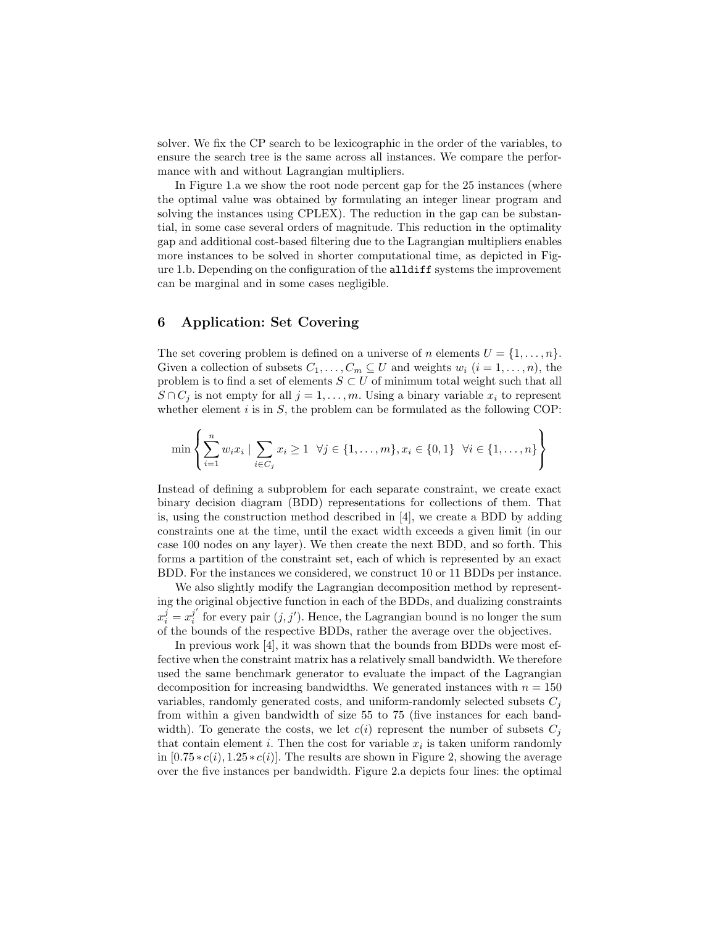solver. We fix the CP search to be lexicographic in the order of the variables, to ensure the search tree is the same across all instances. We compare the performance with and without Lagrangian multipliers.

In Figure 1.a we show the root node percent gap for the 25 instances (where the optimal value was obtained by formulating an integer linear program and solving the instances using CPLEX). The reduction in the gap can be substantial, in some case several orders of magnitude. This reduction in the optimality gap and additional cost-based filtering due to the Lagrangian multipliers enables more instances to be solved in shorter computational time, as depicted in Figure 1.b. Depending on the configuration of the alldiff systems the improvement can be marginal and in some cases negligible.

### 6 Application: Set Covering

The set covering problem is defined on a universe of *n* elements  $U = \{1, \ldots, n\}.$ Given a collection of subsets  $C_1, \ldots, C_m \subseteq U$  and weights  $w_i$   $(i = 1, \ldots, n)$ , the problem is to find a set of elements  $S \subset U$  of minimum total weight such that all  $S \cap C_j$  is not empty for all  $j = 1, ..., m$ . Using a binary variable  $x_i$  to represent whether element  $i$  is in  $S$ , the problem can be formulated as the following COP:

$$
\min \left\{ \sum_{i=1}^{n} w_i x_i \mid \sum_{i \in C_j} x_i \ge 1 \ \ \forall j \in \{1, ..., m\}, x_i \in \{0, 1\} \ \ \forall i \in \{1, ..., n\} \right\}
$$

Instead of defining a subproblem for each separate constraint, we create exact binary decision diagram (BDD) representations for collections of them. That is, using the construction method described in [4], we create a BDD by adding constraints one at the time, until the exact width exceeds a given limit (in our case 100 nodes on any layer). We then create the next BDD, and so forth. This forms a partition of the constraint set, each of which is represented by an exact BDD. For the instances we considered, we construct 10 or 11 BDDs per instance.

We also slightly modify the Lagrangian decomposition method by representing the original objective function in each of the BDDs, and dualizing constraints  $x_i^j = x_i^{j'}$  $j'_{i}$  for every pair  $(j, j')$ . Hence, the Lagrangian bound is no longer the sum of the bounds of the respective BDDs, rather the average over the objectives.

In previous work [4], it was shown that the bounds from BDDs were most effective when the constraint matrix has a relatively small bandwidth. We therefore used the same benchmark generator to evaluate the impact of the Lagrangian decomposition for increasing bandwidths. We generated instances with  $n = 150$ variables, randomly generated costs, and uniform-randomly selected subsets  $C_i$ from within a given bandwidth of size 55 to 75 (five instances for each bandwidth). To generate the costs, we let  $c(i)$  represent the number of subsets  $C_i$ that contain element *i*. Then the cost for variable  $x_i$  is taken uniform randomly in  $[0.75 * c(i), 1.25 * c(i)]$ . The results are shown in Figure 2, showing the average over the five instances per bandwidth. Figure 2.a depicts four lines: the optimal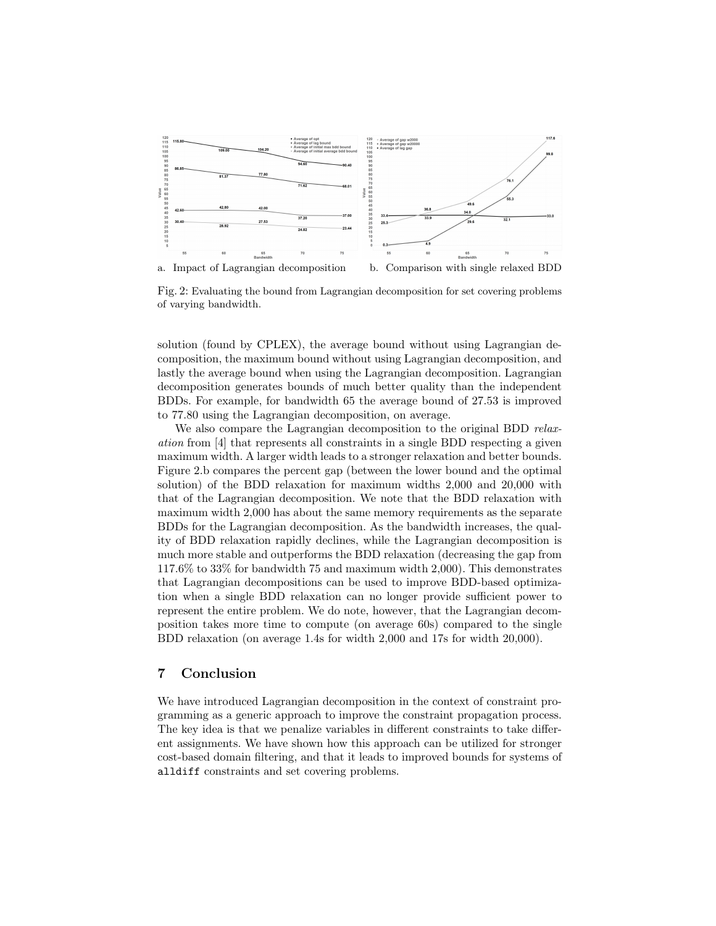

Fig. 2: Evaluating the bound from Lagrangian decomposition for set covering problems of varying bandwidth.

solution (found by CPLEX), the average bound without using Lagrangian decomposition, the maximum bound without using Lagrangian decomposition, and lastly the average bound when using the Lagrangian decomposition. Lagrangian decomposition generates bounds of much better quality than the independent BDDs. For example, for bandwidth 65 the average bound of 27.53 is improved to 77.80 using the Lagrangian decomposition, on average.

We also compare the Lagrangian decomposition to the original BDD relaxation from [4] that represents all constraints in a single BDD respecting a given maximum width. A larger width leads to a stronger relaxation and better bounds. Figure 2.b compares the percent gap (between the lower bound and the optimal solution) of the BDD relaxation for maximum widths 2,000 and 20,000 with that of the Lagrangian decomposition. We note that the BDD relaxation with maximum width 2,000 has about the same memory requirements as the separate BDDs for the Lagrangian decomposition. As the bandwidth increases, the quality of BDD relaxation rapidly declines, while the Lagrangian decomposition is much more stable and outperforms the BDD relaxation (decreasing the gap from 117.6% to 33% for bandwidth 75 and maximum width 2,000). This demonstrates that Lagrangian decompositions can be used to improve BDD-based optimization when a single BDD relaxation can no longer provide sufficient power to represent the entire problem. We do note, however, that the Lagrangian decomposition takes more time to compute (on average 60s) compared to the single BDD relaxation (on average 1.4s for width 2,000 and 17s for width 20,000).

## 7 Conclusion

We have introduced Lagrangian decomposition in the context of constraint programming as a generic approach to improve the constraint propagation process. The key idea is that we penalize variables in different constraints to take different assignments. We have shown how this approach can be utilized for stronger cost-based domain filtering, and that it leads to improved bounds for systems of alldiff constraints and set covering problems.